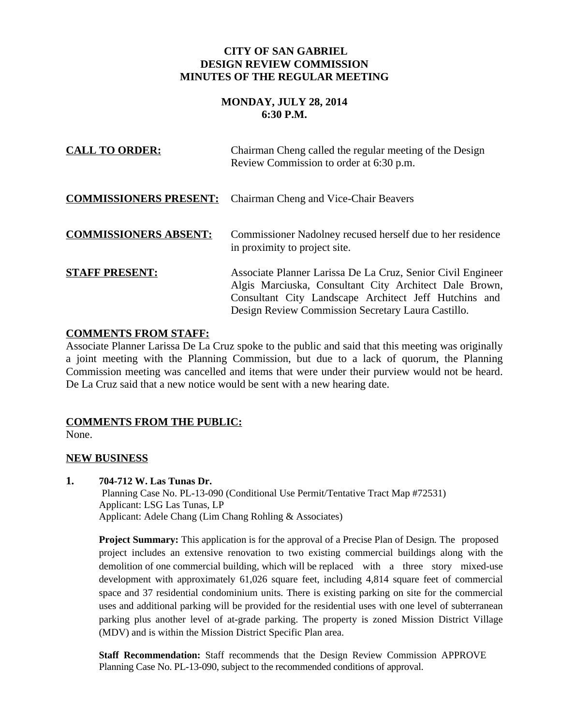## **CITY OF SAN GABRIEL DESIGN REVIEW COMMISSION MINUTES OF THE REGULAR MEETING**

# **MONDAY, JULY 28, 2014 6:30 P.M.**

| <b>CALL TO ORDER:</b>         | Chairman Cheng called the regular meeting of the Design<br>Review Commission to order at 6:30 p.m.                                                                                                                                   |
|-------------------------------|--------------------------------------------------------------------------------------------------------------------------------------------------------------------------------------------------------------------------------------|
| <b>COMMISSIONERS PRESENT:</b> | Chairman Cheng and Vice-Chair Beavers                                                                                                                                                                                                |
| <b>COMMISSIONERS ABSENT:</b>  | Commissioner Nadolney recused herself due to her residence<br>in proximity to project site.                                                                                                                                          |
| <b>STAFF PRESENT:</b>         | Associate Planner Larissa De La Cruz, Senior Civil Engineer<br>Algis Marciuska, Consultant City Architect Dale Brown,<br>Consultant City Landscape Architect Jeff Hutchins and<br>Design Review Commission Secretary Laura Castillo. |

## **COMMENTS FROM STAFF:**

Associate Planner Larissa De La Cruz spoke to the public and said that this meeting was originally a joint meeting with the Planning Commission, but due to a lack of quorum, the Planning Commission meeting was cancelled and items that were under their purview would not be heard. De La Cruz said that a new notice would be sent with a new hearing date.

# **COMMENTS FROM THE PUBLIC:**

None.

## **NEW BUSINESS**

**1. 704-712 W. Las Tunas Dr.**

 Planning Case No. PL-13-090 (Conditional Use Permit/Tentative Tract Map #72531) Applicant: LSG Las Tunas, LP Applicant: Adele Chang (Lim Chang Rohling & Associates)

**Project Summary:** This application is for the approval of a Precise Plan of Design*.* The proposed project includes an extensive renovation to two existing commercial buildings along with the demolition of one commercial building, which will be replaced with a three story mixed-use development with approximately 61,026 square feet, including 4,814 square feet of commercial space and 37 residential condominium units. There is existing parking on site for the commercial uses and additional parking will be provided for the residential uses with one level of subterranean parking plus another level of at-grade parking. The property is zoned Mission District Village (MDV) and is within the Mission District Specific Plan area.

**Staff Recommendation:** Staff recommends that the Design Review Commission APPROVE Planning Case No. PL-13-090, subject to the recommended conditions of approval.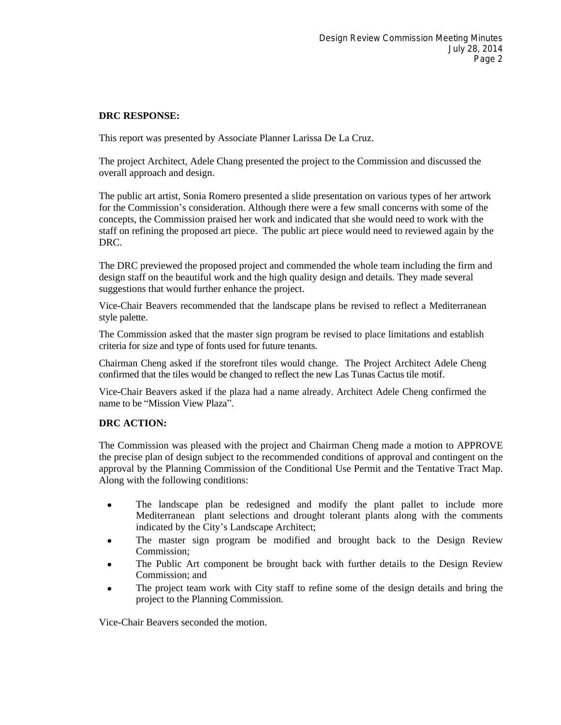#### **DRC RESPONSE:**

This report was presented by Associate Planner Larissa De La Cruz.

The project Architect, Adele Chang presented the project to the Commission and discussed the overall approach and design.

The public art artist, Sonia Romero presented a slide presentation on various types of her artwork for the Commission's consideration. Although there were a few small concerns with some of the concepts, the Commission praised her work and indicated that she would need to work with the staff on refining the proposed art piece. The public art piece would need to reviewed again by the DRC.

The DRC previewed the proposed project and commended the whole team including the firm and design staff on the beautiful work and the high quality design and details. They made several suggestions that would further enhance the project.

Vice-Chair Beavers recommended that the landscape plans be revised to reflect a Mediterranean style palette.

The Commission asked that the master sign program be revised to place limitations and establish criteria for size and type of fonts used for future tenants.

Chairman Cheng asked if the storefront tiles would change. The Project Architect Adele Cheng confirmed that the tiles would be changed to reflect the new Las Tunas Cactus tile motif.

Vice-Chair Beavers asked if the plaza had a name already. Architect Adele Cheng confirmed the name to be "Mission View Plaza".

#### **DRC ACTION:**

The Commission was pleased with the project and Chairman Cheng made a motion to APPROVE the precise plan of design subject to the recommended conditions of approval and contingent on the approval by the Planning Commission of the Conditional Use Permit and the Tentative Tract Map. Along with the following conditions:

- The landscape plan be redesigned and modify the plant pallet to include more Mediterranean plant selections and drought tolerant plants along with the comments indicated by the City's Landscape Architect;
- The master sign program be modified and brought back to the Design Review Commission;
- The Public Art component be brought back with further details to the Design Review Commission; and
- The project team work with City staff to refine some of the design details and bring the project to the Planning Commission.

Vice-Chair Beavers seconded the motion.